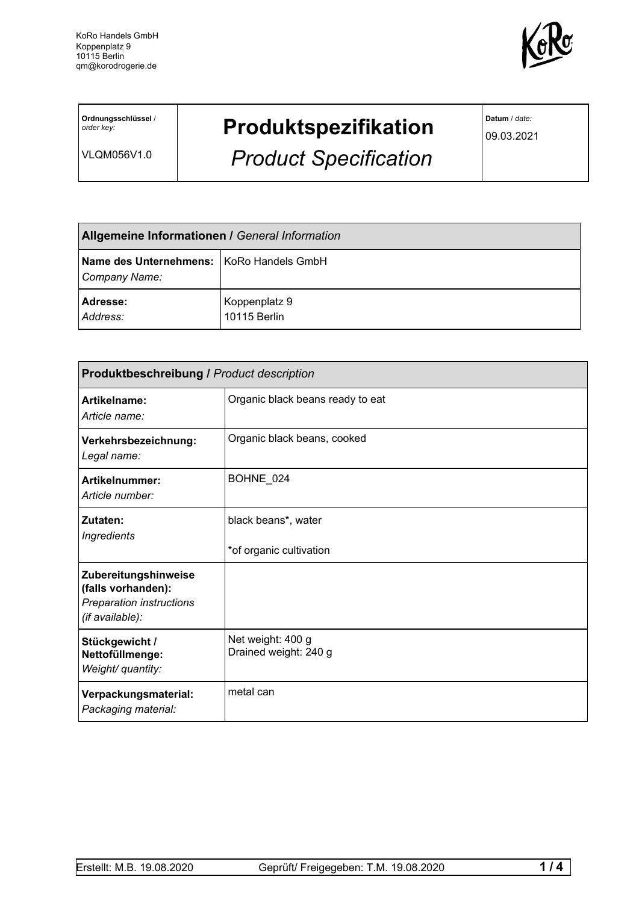

**Ordnungsschlüssel** / *order key:*

VLQM056V1.0

## **Produktspezifikation**

*Product Specification*

**Datum** / *date:*

09.03.2021

| Allgemeine Informationen / General Information              |                               |  |
|-------------------------------------------------------------|-------------------------------|--|
| Name des Unternehmens:   KoRo Handels GmbH<br>Company Name: |                               |  |
| Adresse:<br>Address:                                        | Koppenplatz 9<br>10115 Berlin |  |

| <b>Produktbeschreibung / Product description</b>                                                 |                                                |  |
|--------------------------------------------------------------------------------------------------|------------------------------------------------|--|
| Artikelname:<br>Article name:                                                                    | Organic black beans ready to eat               |  |
| Verkehrsbezeichnung:<br>Legal name:                                                              | Organic black beans, cooked                    |  |
| Artikelnummer:<br>Article number:                                                                | BOHNE_024                                      |  |
| Zutaten:<br><b>Ingredients</b>                                                                   | black beans*, water<br>*of organic cultivation |  |
| Zubereitungshinweise<br>(falls vorhanden):<br><b>Preparation instructions</b><br>(if available): |                                                |  |
| Stückgewicht /<br>Nettofüllmenge:<br>Weight/ quantity:                                           | Net weight: 400 g<br>Drained weight: 240 g     |  |
| Verpackungsmaterial:<br>Packaging material:                                                      | metal can                                      |  |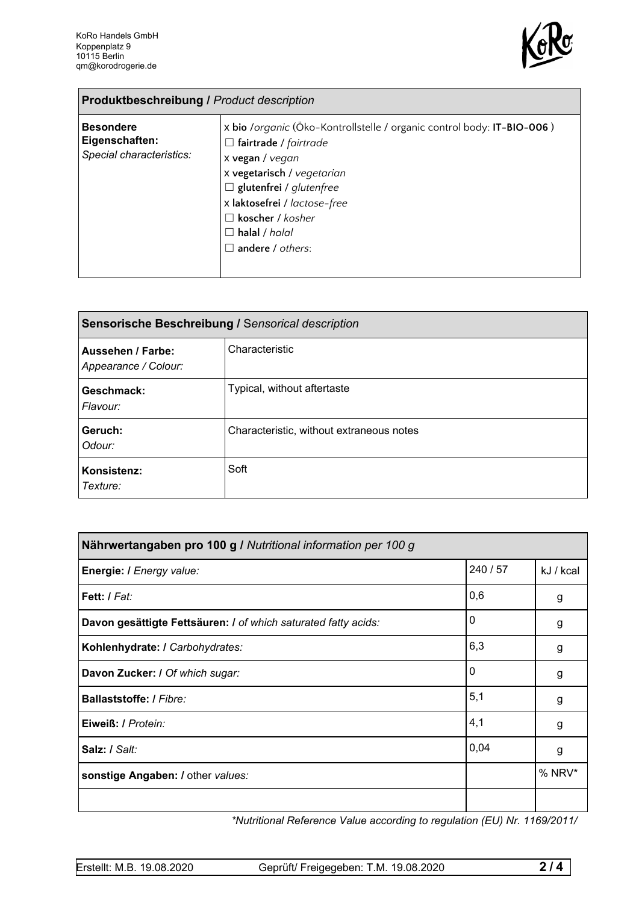

| <b>Produktbeschreibung / Product description</b>               |                                                                                                                                                                                                                                                                                           |  |
|----------------------------------------------------------------|-------------------------------------------------------------------------------------------------------------------------------------------------------------------------------------------------------------------------------------------------------------------------------------------|--|
| <b>Besondere</b><br>Eigenschaften:<br>Special characteristics: | x bio /organic (Öko-Kontrollstelle / organic control body: IT-BIO-006)<br>$\Box$ fairtrade / fairtrade<br>x vegan / vegan<br>x vegetarisch / vegetarian<br>$\Box$ glutenfrei / glutenfree<br>x laktosefrei / lactose-free<br>koscher / kosher<br>$\Box$ halal / halal<br>andere / others: |  |

| Sensorische Beschreibung / Sensorical description |                                          |  |
|---------------------------------------------------|------------------------------------------|--|
| Aussehen / Farbe:<br>Appearance / Colour:         | Characteristic                           |  |
| Geschmack:<br>Flavour:                            | Typical, without aftertaste              |  |
| Geruch:<br>Odour:                                 | Characteristic, without extraneous notes |  |
| Konsistenz:<br>Texture:                           | Soft                                     |  |

| Nährwertangaben pro 100 g / Nutritional information per 100 g  |          |           |
|----------------------------------------------------------------|----------|-----------|
| Energie: I Energy value:                                       | 240 / 57 | kJ / kcal |
| Fett: / Fat:                                                   | 0,6      | g         |
| Davon gesättigte Fettsäuren: I of which saturated fatty acids: | 0        | g         |
| Kohlenhydrate: I Carbohydrates:                                | 6,3      | g         |
| Davon Zucker: I Of which sugar:                                | 0        | g         |
| Ballaststoffe: / Fibre:                                        | 5,1      | g         |
| Eiweiß: / Protein:                                             | 4,1      | g         |
| Salz: / Salt:                                                  | 0,04     | g         |
| sonstige Angaben: / other values:                              |          | $%$ NRV*  |
|                                                                |          |           |

*\*Nutritional Reference Value according to regulation (EU) Nr. 1169/2011/*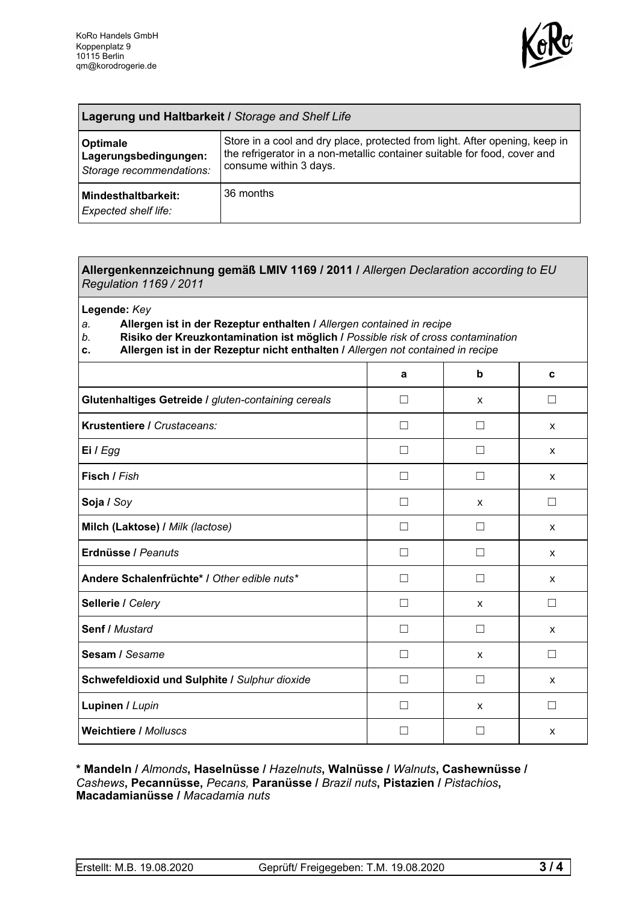

| <b>Lagerung und Haltbarkeit / Storage and Shelf Life</b>             |                                                                                                                                                                                    |  |
|----------------------------------------------------------------------|------------------------------------------------------------------------------------------------------------------------------------------------------------------------------------|--|
| <b>Optimale</b><br>Lagerungsbedingungen:<br>Storage recommendations: | Store in a cool and dry place, protected from light. After opening, keep in<br>the refrigerator in a non-metallic container suitable for food, cover and<br>consume within 3 days. |  |
| Mindesthaltbarkeit:<br><b>Expected shelf life:</b>                   | 36 months                                                                                                                                                                          |  |

## **Allergenkennzeichnung gemäß LMIV 1169 / 2011 /** *Allergen Declaration according to EU Regulation 1169 / 2011*

**Legende:** *Key*

*a.* **Allergen ist in der Rezeptur enthalten /** *Allergen contained in recipe*

- *b.* **Risiko der Kreuzkontamination ist möglich /** *Possible risk of cross contamination*
- **c. Allergen ist in der Rezeptur nicht enthalten /** *Allergen not contained in recipe*

| a            | b            | C                        |
|--------------|--------------|--------------------------|
| П            | X            | $\blacksquare$           |
| $\mathsf{L}$ | $\perp$      | X                        |
| П            |              | X                        |
| Г            |              | X                        |
| □            | X            | $\overline{\phantom{a}}$ |
| H            | $\perp$      | X                        |
| $\mathsf{L}$ | $\perp$      | X                        |
| П            | П            | X                        |
| П            | $\mathsf{x}$ | $\Box$                   |
| П            | П            | X                        |
| L            | X            |                          |
| П            | $\Box$       | X                        |
|              | X            | $\blacksquare$           |
|              |              | X                        |
|              |              |                          |

**\* Mandeln /** *Almonds***, Haselnüsse /** *Hazelnuts***, Walnüsse /** *Walnuts***, Cashewnüsse /** *Cashews***, Pecannüsse,** *Pecans,* **Paranüsse /** *Brazil nuts***, Pistazien /** *Pistachios***, Macadamianüsse /** *Macadamia nuts*